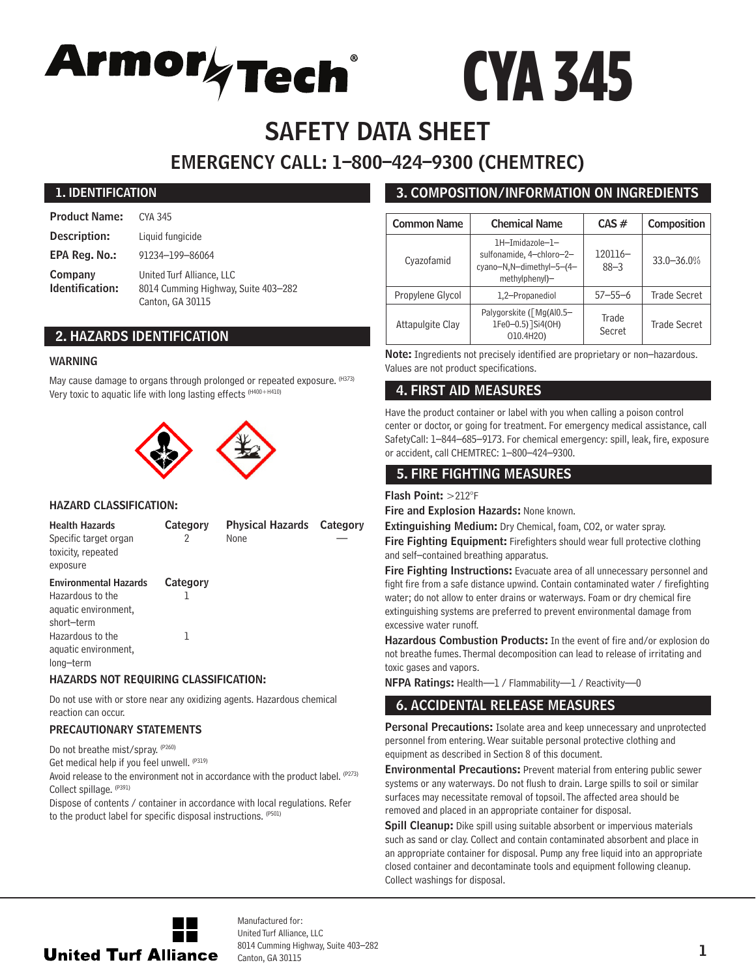

# CYA 345

# SAFETY DATA SHEET EMERGENCY CALL: 1–800–424–9300 (CHEMTREC)

#### 1. IDENTIFICATION

| <b>Product Name:</b>       | CYA 345                                                                              |
|----------------------------|--------------------------------------------------------------------------------------|
| Description:               | Liquid fungicide                                                                     |
| EPA Reg. No.:              | 91234-199-86064                                                                      |
| Company<br>Identification: | United Turf Alliance, LLC<br>8014 Cumming Highway, Suite 403-282<br>Canton, GA 30115 |

## 2. HAZARDS IDENTIFICATION

#### WARNING

May cause damage to organs through prolonged or repeated exposure. (H373) Very toxic to aquatic life with long lasting effects (H400+H410)



#### HAZARD CLASSIFICATION:

| <b>Health Hazards</b><br>Specific target organ<br>toxicity, repeated<br>exposure | Category<br>2 | <b>Physical Hazards</b> Category<br>None |  |
|----------------------------------------------------------------------------------|---------------|------------------------------------------|--|
| <b>Environmental Hazards</b><br>Hazardous to the<br>aquatic environment,         | Category      |                                          |  |
| short-term<br>Hazardous to the<br>aquatic environment,<br>long-term              |               |                                          |  |

#### HAZARDS NOT REQUIRING CLASSIFICATION:

Do not use with or store near any oxidizing agents. Hazardous chemical reaction can occur.

#### PRECAUTIONARY STATEMENTS

Do not breathe mist/spray. (P260)

Get medical help if you feel unwell. (P319)

Avoid release to the environment not in accordance with the product label. (P273) Collect spillage. (P391)

Dispose of contents / container in accordance with local regulations. Refer to the product label for specific disposal instructions. (P501)

# 3. COMPOSITION/INFORMATION ON INGREDIENTS

| <b>Common Name</b> | <b>Chemical Name</b>                                                                      | $CAS \#$            | Composition         |
|--------------------|-------------------------------------------------------------------------------------------|---------------------|---------------------|
| Cyazofamid         | 1H-Imidazole-1-<br>sulfonamide, 4-chloro-2-<br>cyano-N,N-dimethyl-5-(4-<br>methylphenyl)- | 120116-<br>$88 - 3$ | 33.0-36.0%          |
| Propylene Glycol   | 1,2-Propanediol                                                                           | $57 - 55 - 6$       | <b>Trade Secret</b> |
| Attapulgite Clay   | Palygorskite ([Mg(Al0.5-<br>1Fe0-0.5) ]Si4(OH)<br>010.4H20)                               | Trade<br>Secret     | Trade Secret        |

Note: Ingredients not precisely identified are proprietary or non-hazardous. Values are not product specifications.

# 4. FIRST AID MEASURES

Have the product container or label with you when calling a poison control center or doctor, or going for treatment. For emergency medical assistance, call SafetyCall: 1–844–685–9173. For chemical emergency: spill, leak, fire, exposure or accident, call CHEMTREC: 1–800–424–9300.

# 5. FIRE FIGHTING MEASURES

#### Flash Point: >212°F

Fire and Explosion Hazards: None known.

Extinguishing Medium: Dry Chemical, foam, CO2, or water spray.

Fire Fighting Equipment: Firefighters should wear full protective clothing and self–contained breathing apparatus.

Fire Fighting Instructions: Evacuate area of all unnecessary personnel and fight fire from a safe distance upwind. Contain contaminated water / firefighting water; do not allow to enter drains or waterways. Foam or dry chemical fire extinguishing systems are preferred to prevent environmental damage from excessive water runoff.

Hazardous Combustion Products: In the event of fire and/or explosion do not breathe fumes. Thermal decomposition can lead to release of irritating and toxic gases and vapors.

NFPA Ratings: Health—1 / Flammability—1 / Reactivity—0

# 6. ACCIDENTAL RELEASE MEASURES

Personal Precautions: Isolate area and keep unnecessary and unprotected personnel from entering. Wear suitable personal protective clothing and equipment as described in Section 8 of this document.

**Environmental Precautions:** Prevent material from entering public sewer systems or any waterways. Do not flush to drain. Large spills to soil or similar surfaces may necessitate removal of topsoil. The affected area should be removed and placed in an appropriate container for disposal.

Spill Cleanup: Dike spill using suitable absorbent or impervious materials such as sand or clay. Collect and contain contaminated absorbent and place in an appropriate container for disposal. Pump any free liquid into an appropriate closed container and decontaminate tools and equipment following cleanup. Collect washings for disposal.



Manufactured for: United Turf Alliance, LLC 8014 Cumming Highway, Suite 403–282 Canton, GA 30115 1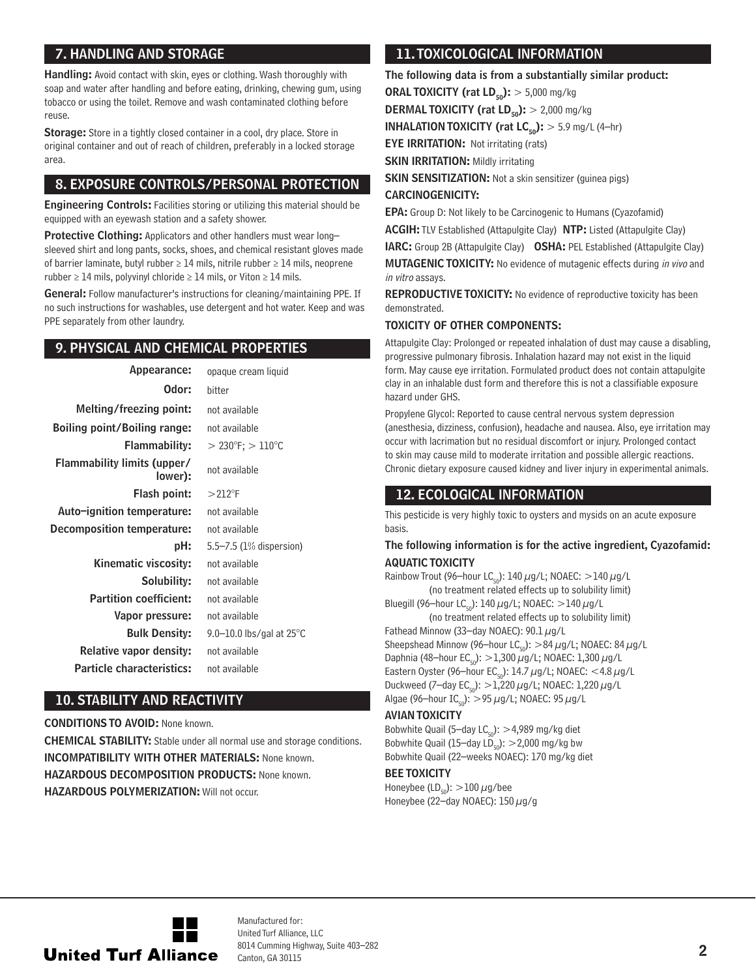# 7. HANDLING AND STORAGE

Handling: Avoid contact with skin, eyes or clothing. Wash thoroughly with soap and water after handling and before eating, drinking, chewing gum, using tobacco or using the toilet. Remove and wash contaminated clothing before reuse.

Storage: Store in a tightly closed container in a cool, dry place. Store in original container and out of reach of children, preferably in a locked storage area.

# 8. EXPOSURE CONTROLS/PERSONAL PROTECTION

Engineering Controls: Facilities storing or utilizing this material should be equipped with an eyewash station and a safety shower.

Protective Clothing: Applicators and other handlers must wear longsleeved shirt and long pants, socks, shoes, and chemical resistant gloves made of barrier laminate, butyl rubber ≥ 14 mils, nitrile rubber ≥ 14 mils, neoprene rubber  $\geq 14$  mils, polyvinyl chloride  $\geq 14$  mils, or Viton  $\geq 14$  mils.

General: Follow manufacturer's instructions for cleaning/maintaining PPE. If no such instructions for washables, use detergent and hot water. Keep and was PPE separately from other laundry.

# 9. PHYSICAL AND CHEMICAL PROPERTIES

| Appearance:                            | opaque cream liquid                      |
|----------------------------------------|------------------------------------------|
| Odor:                                  | hitter                                   |
| Melting/freezing point:                | not available                            |
| Boiling point/Boiling range:           | not available                            |
| Flammability:                          | $>$ 230 $\degree$ F; $>$ 110 $\degree$ C |
| Flammability limits (upper/<br>lower): | not available                            |
| Flash point:                           | $>212^{\circ}$ F                         |
| Auto-ignition temperature:             | not available                            |
| Decomposition temperature:             | not available                            |
| pH:                                    | 5.5-7.5 (1% dispersion)                  |
| Kinematic viscosity:                   | not available                            |
| Solubility:                            | not available                            |
| <b>Partition coefficient:</b>          | not available                            |
| Vapor pressure:                        | not available                            |
| <b>Bulk Density:</b>                   | 9.0-10.0 lbs/gal at $25^{\circ}$ C       |
| <b>Relative vapor density:</b>         | not available                            |
| Particle characteristics:              | not available                            |
|                                        |                                          |

#### 10. STABILITY AND REACTIVITY

CONDITIONS TO AVOID: None known. CHEMICAL STABILITY: Stable under all normal use and storage conditions. INCOMPATIBILITY WITH OTHER MATERIALS: None known. **HAZARDOUS DECOMPOSITION PRODUCTS: None known.** HAZARDOUS POLYMERIZATION: Will not occur.

# 11. TOXICOLOGICAL INFORMATION

The following data is from a substantially similar product:

**ORAL TOXICITY (rat LD<sub>50</sub>):**  $> 5,000$  mg/kg

**DERMAL TOXICITY (rat LD<sub>50</sub>):**  $> 2,000$  mg/kg

**INHALATION TOXICITY (rat LC<sub>50</sub>):**  $> 5.9$  mg/L (4-hr)

**EYE IRRITATION:** Not irritating (rats)

**SKIN IRRITATION: Mildly irritating** 

**SKIN SENSITIZATION:** Not a skin sensitizer (guinea pigs) CARCINOGENICITY:

EPA: Group D: Not likely to be Carcinogenic to Humans (Cyazofamid)

ACGIH: TLV Established (Attapulgite Clay) NTP: Listed (Attapulgite Clay)

**IARC:** Group 2B (Attapulgite Clay) **OSHA:** PEL Established (Attapulgite Clay) MUTAGENIC TOXICITY: No evidence of mutagenic effects during in vivo and in vitro assays.

REPRODUCTIVE TOXICITY: No evidence of reproductive toxicity has been demonstrated.

#### TOXICITY OF OTHER COMPONENTS:

Attapulgite Clay: Prolonged or repeated inhalation of dust may cause a disabling, progressive pulmonary fibrosis. Inhalation hazard may not exist in the liquid form. May cause eye irritation. Formulated product does not contain attapulgite clay in an inhalable dust form and therefore this is not a classifiable exposure hazard under GHS.

Propylene Glycol: Reported to cause central nervous system depression (anesthesia, dizziness, confusion), headache and nausea. Also, eye irritation may occur with lacrimation but no residual discomfort or injury. Prolonged contact to skin may cause mild to moderate irritation and possible allergic reactions. Chronic dietary exposure caused kidney and liver injury in experimental animals.

## 12. ECOLOGICAL INFORMATION

This pesticide is very highly toxic to oysters and mysids on an acute exposure basis.

#### The following information is for the active ingredient, Cyazofamid: AQUATIC TOXICITY

Rainbow Trout (96-hour LC<sub>co</sub>): 140  $\mu$ g/L; NOAEC: >140  $\mu$ g/L (no treatment related effects up to solubility limit) Bluegill (96-hour LC<sub>50</sub>): 140  $\mu$ g/L; NOAEC: >140  $\mu$ g/L (no treatment related effects up to solubility limit) Fathead Minnow (33-day NOAEC): 90.1  $\mu$ g/L Sheepshead Minnow (96–hour LC<sub>50</sub>):  $>84 \mu$ g/L; NOAEC: 84  $\mu$ g/L Daphnia (48-hour EC<sub>50</sub>):  $>1,300 \mu$ g/L; NOAEC: 1,300  $\mu$ g/L Eastern Oyster (96-hour EC<sub>50</sub>): 14.7  $\mu$ g/L; NOAEC: <4.8  $\mu$ g/L Duckweed (7-day EC<sub>50</sub>):  $>1,220 \mu$ g/L; NOAEC: 1,220  $\mu$ g/L Algae (96–hour  $IC_{50}$ : >95  $\mu$ g/L; NOAEC: 95  $\mu$ g/L

#### AVIAN TOXICITY

Bobwhite Quail (5–day  $LC_{50}$ ): >4,989 mg/kg diet Bobwhite Quail (15–day  $LD_{co}$ ):  $>$  2,000 mg/kg bw Bobwhite Quail (22–weeks NOAEC): 170 mg/kg diet

#### BEE TOXICITY

Honeybee (LD<sub>50</sub>):  $>100 \mu$ g/bee Honeybee (22-day NOAEC):  $150 \mu g/g$ 



Manufactured for: United Turf Alliance, LLC 8014 Cumming Highway, Suite 403–282  $\alpha$ 2014 Cumming Hignway, Suite 403–282<br>Canton, GA 30115